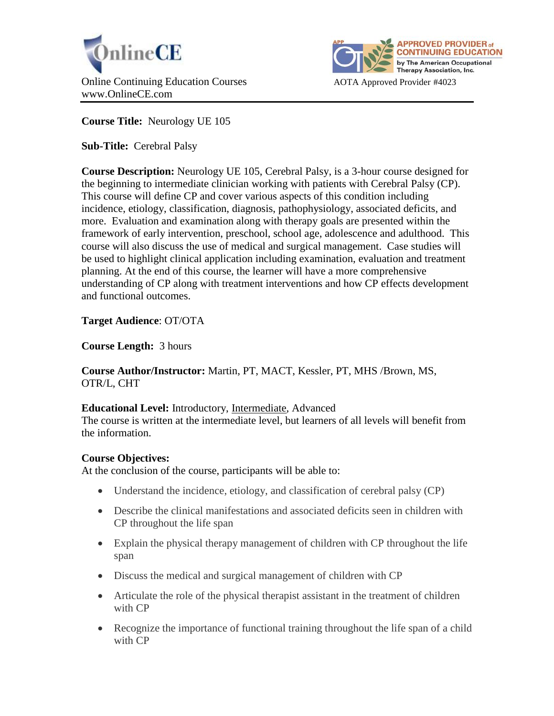



**Course Title:** Neurology UE 105

**Sub-Title:** Cerebral Palsy

**Course Description:** Neurology UE 105, Cerebral Palsy, is a 3-hour course designed for the beginning to intermediate clinician working with patients with Cerebral Palsy (CP). This course will define CP and cover various aspects of this condition including incidence, etiology, classification, diagnosis, pathophysiology, associated deficits, and more. Evaluation and examination along with therapy goals are presented within the framework of early intervention, preschool, school age, adolescence and adulthood. This course will also discuss the use of medical and surgical management. Case studies will be used to highlight clinical application including examination, evaluation and treatment planning. At the end of this course, the learner will have a more comprehensive understanding of CP along with treatment interventions and how CP effects development and functional outcomes.

# **Target Audience**: OT/OTA

**Course Length:** 3 hours

**Course Author/Instructor:** Martin, PT, MACT, Kessler, PT, MHS /Brown, MS, OTR/L, CHT

## **Educational Level:** Introductory, Intermediate, Advanced

The course is written at the intermediate level, but learners of all levels will benefit from the information.

## **Course Objectives:**

At the conclusion of the course, participants will be able to:

- Understand the incidence, etiology, and classification of cerebral palsy (CP)
- Describe the clinical manifestations and associated deficits seen in children with CP throughout the life span
- Explain the physical therapy management of children with CP throughout the life span
- Discuss the medical and surgical management of children with CP
- Articulate the role of the physical therapist assistant in the treatment of children with CP
- Recognize the importance of functional training throughout the life span of a child with CP